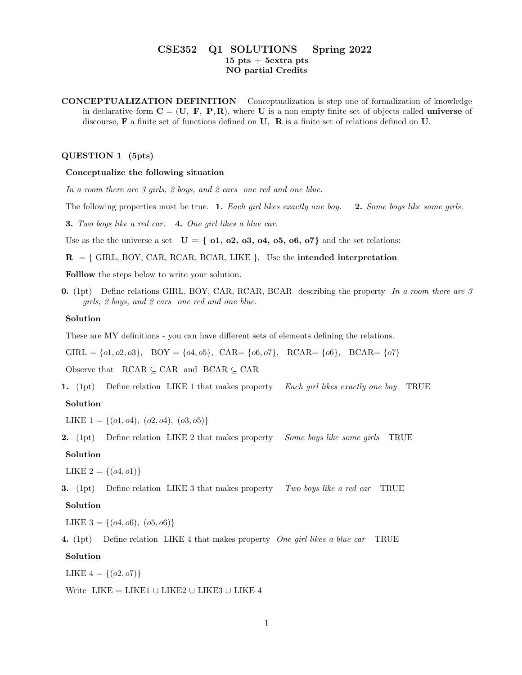# CSE352 Q1 SOLUTIONS Spring 2022  $15$  pts  $+$  5 extra pts NO partial Credits

CONCEPTUALIZATION DEFINITION Conceptualization is step one of formalization of knowledge in declarative form  $C = (U, F, P, R)$ , where U is a non empty finite set of objects called **universe** of discourse, F a finite set of functions defined on U, R is a finite set of relations defined on U.

# QUESTION 1 (5pts)

## Conceptualize the following situation

In a room there are 3 girls, 2 boys, and 2 cars one red and one blue.

The following properties must be true. 1. Each girl likes exactly one boy. 2. Some boys like some girls.

3. Two boys like a red car. 4. One girl likes a blue car.

Use as the the universe a set  $U = \{ 0.1, 0.2, 0.3, 0.4, 0.5, 0.6, 0.7 \}$  and the set relations:

 $R = \{$  GIRL, BOY, CAR, RCAR, BCAR, LIKE  $\}$ . Use the intended interpretation

Folllow the steps below to write your solution.

0. (1pt) Define relations GIRL, BOY, CAR, RCAR, BCAR describing the property In a room there are  $\beta$ girls, 2 boys, and 2 cars one red and one blue.

#### Solution

These are MY definitions - you can have different sets of elements defining the relations.

GIRL =  $\{0, 0, 0\}$ , BOY =  $\{04, 05\}$ , CAR=  $\{06, 07\}$ , RCAR=  $\{06\}$ , BCAR=  $\{07\}$ 

Observe that  $\angle$  RCAR  $\subseteq$  CAR and  $\angle$  BCAR  $\subseteq$  CAR

1. (1pt) Define relation LIKE 1 that makes property Each girl likes exactly one boy TRUE

#### Solution

LIKE  $1 = \{(o1, o4), (o2, o4), (o3, o5)\}\$ 

2. (1pt) Define relation LIKE 2 that makes property Some boys like some girls TRUE

## Solution

LIKE  $2 = \{(o4, o1)\}\$ 

**3.** (1pt) Define relation LIKE 3 that makes property Two boys like a red car TRUE Solution

LIKE  $3 = \{(o4, o6), (o5, o6)\}\$ 

4. (1pt) Define relation LIKE 4 that makes property One girl likes a blue car TRUE

## Solution

LIKE  $4 = \{(o2, o7)\}\$ 

Write LIKE = LIKE1 ∪ LIKE2 ∪ LIKE3 ∪ LIKE 4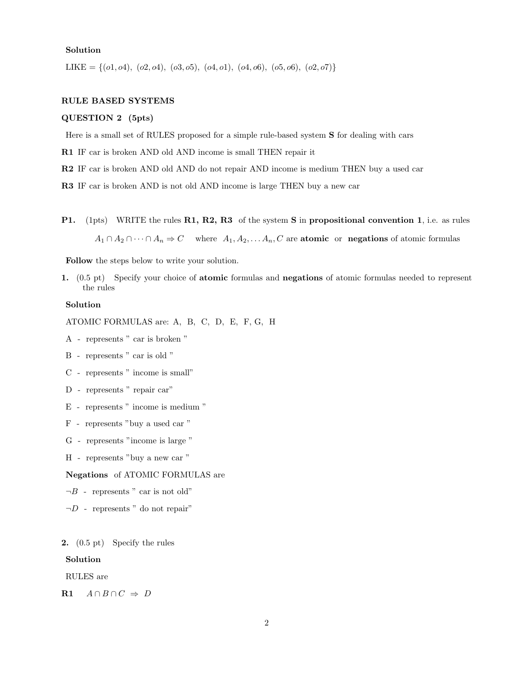#### Solution

LIKE = { $(01, 04)$ ,  $(02, 04)$ ,  $(03, 05)$ ,  $(04, 01)$ ,  $(04, 06)$ ,  $(05, 06)$ ,  $(02, 07)$ }

## RULE BASED SYSTEMS

## QUESTION 2 (5pts)

Here is a small set of RULES proposed for a simple rule-based system S for dealing with cars

R1 IF car is broken AND old AND income is small THEN repair it

R2 IF car is broken AND old AND do not repair AND income is medium THEN buy a used car

R3 IF car is broken AND is not old AND income is large THEN buy a new car

P1. (1pts) WRITE the rules R1, R2, R3 of the system S in propositional convention 1, i.e. as rules

 $A_1 \cap A_2 \cap \cdots \cap A_n \Rightarrow C$  where  $A_1, A_2, \ldots, A_n, C$  are **atomic** or **negations** of atomic formulas

Follow the steps below to write your solution.

1. (0.5 pt) Specify your choice of atomic formulas and negations of atomic formulas needed to represent the rules

### Solution

ATOMIC FORMULAS are: A, B, C, D, E, F, G, H

- A represents " car is broken "
- B represents " car is old "
- C represents " income is small"
- D represents " repair car"
- E represents " income is medium "
- F represents "buy a used car "
- G represents "income is large "
- H represents "buy a new car "

#### Negations of ATOMIC FORMULAS are

- $\neg B$  represents " car is not old"
- $\neg D$  represents " do not repair"
- 2. (0.5 pt) Specify the rules

#### Solution

RULES are

R1  $A \cap B \cap C \Rightarrow D$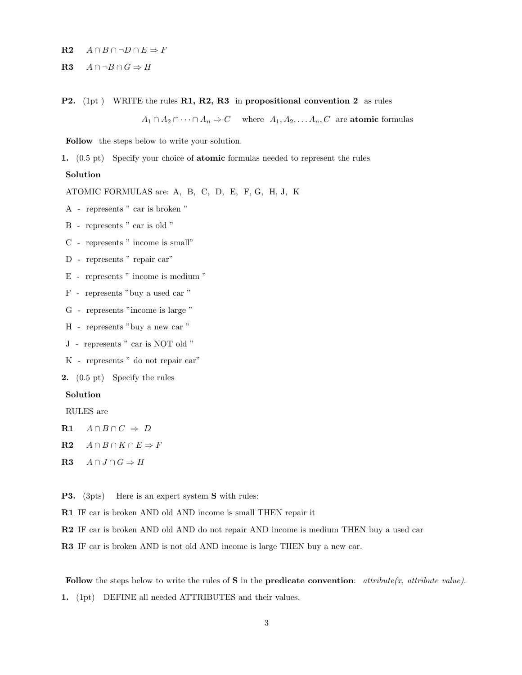- R2  $A \cap B \cap \neg D \cap E \Rightarrow F$
- R3  $A \cap \neg B \cap G \Rightarrow H$
- **P2.** (1pt ) WRITE the rules **R1, R2, R3** in propositional convention 2 as rules

 $A_1 \cap A_2 \cap \cdots \cap A_n \Rightarrow C$  where  $A_1, A_2, \ldots, A_n, C$  are **atomic** formulas

Follow the steps below to write your solution.

1. (0.5 pt) Specify your choice of atomic formulas needed to represent the rules

#### Solution

ATOMIC FORMULAS are: A, B, C, D, E, F, G, H, J, K

- A represents " car is broken "
- B represents " car is old "
- C represents " income is small"
- D represents " repair car"
- E represents " income is medium "
- F represents "buy a used car "
- G represents "income is large "
- H represents "buy a new car "
- J represents " car is NOT old "
- K represents " do not repair car"
- 2. (0.5 pt) Specify the rules

## Solution

RULES are

- R1  $A \cap B \cap C \Rightarrow D$
- R2  $A \cap B \cap K \cap E \Rightarrow F$
- R3  $A \cap J \cap G \Rightarrow H$
- P3. (3pts) Here is an expert system S with rules:
- R1 IF car is broken AND old AND income is small THEN repair it
- R2 IF car is broken AND old AND do not repair AND income is medium THEN buy a used car
- R3 IF car is broken AND is not old AND income is large THEN buy a new car.

Follow the steps below to write the rules of S in the **predicate convention**: attribute(x, attribute value).

1. (1pt) DEFINE all needed ATTRIBUTES and their values.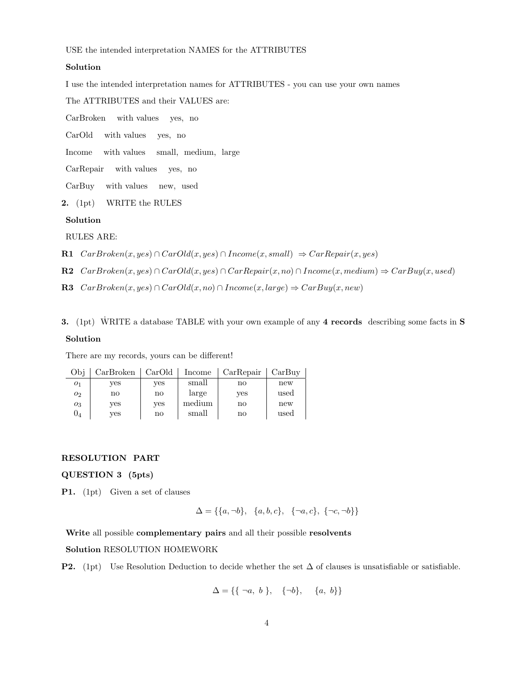USE the intended interpretation NAMES for the ATTRIBUTES

## Solution

I use the intended interpretation names for ATTRIBUTES - you can use your own names

The ATTRIBUTES and their VALUES are:

CarBroken with values yes, no

CarOld with values yes, no

Income with values small, medium, large

CarRepair with values yes, no

CarBuy with values new, used

2. (1pt) WRITE the RULES

#### Solution

RULES ARE:

- R1  $CarB token(x, yes) \cap Card(x, yes) \cap Income(x, small) \Rightarrow CarRepair(x, yes)$
- R2  $CarBroken(x, yes) \cap Card(x, yes) \cap CarRepair(x, no) \cap Income(x, medium) \Rightarrow CarBuy(x, used)$
- R3  $CarBroken(x, yes) \cap Card(x, no) \cap Income(x, large) \Rightarrow CarBuy(x, new)$
- 3. (1pt) WRITE a database TABLE with your own example of any 4 records describing some facts in S Solution

There are my records, yours can be different!

| Obi            | CarBroken | CarOld | Income | CarRepair              | CarBuv |  |
|----------------|-----------|--------|--------|------------------------|--------|--|
| O <sub>1</sub> | ves       | ves    | small  | $\mathbf{n}\mathbf{o}$ | new    |  |
| O <sub>2</sub> | no        | no     | large  | ves                    | used   |  |
| $O_3$          | ves       | ves    | medium | $\mathbf{n}\mathbf{o}$ | new    |  |
| U4             | ves       | no     | small  | no                     | used   |  |

#### RESOLUTION PART

QUESTION 3 (5pts)

P1. (1pt) Given a set of clauses

$$
\Delta = \{\{a, \neg b\}, \{a, b, c\}, \{\neg a, c\}, \{\neg c, \neg b\}\}\
$$

Write all possible complementary pairs and all their possible resolvents

Solution RESOLUTION HOMEWORK

**P2.** (1pt) Use Resolution Deduction to decide whether the set  $\Delta$  of clauses is unsatisfiable or satisfiable.

$$
\Delta = \{ \{ \neg a, b \}, \{ \neg b \}, \{a, b \} \}
$$